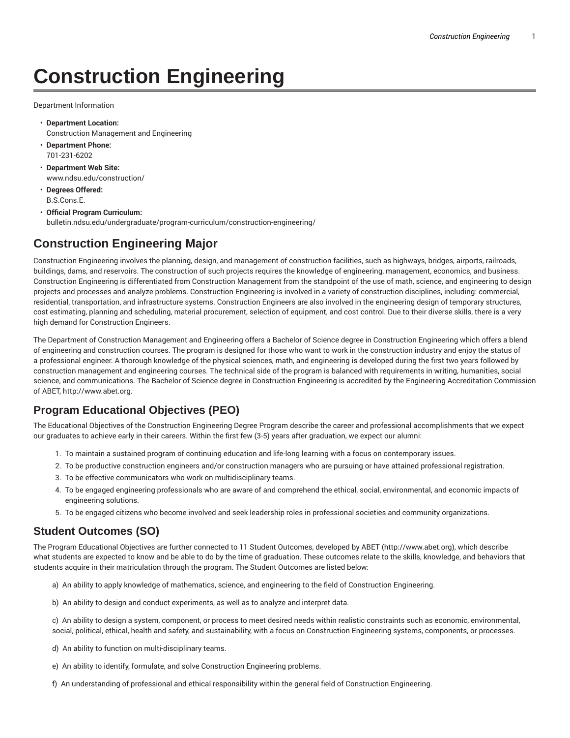# **Construction Engineering**

Department Information

- **Department Location:** Construction Management and Engineering
- **Department Phone:** 701-231-6202
- **Department Web Site:** www.ndsu.edu/construction/
- **Degrees Offered:** B.S.Cons.E.
- **Official Program Curriculum:** bulletin.ndsu.edu/undergraduate/program-curriculum/construction-engineering/

## **Construction Engineering Major**

Construction Engineering involves the planning, design, and management of construction facilities, such as highways, bridges, airports, railroads, buildings, dams, and reservoirs. The construction of such projects requires the knowledge of engineering, management, economics, and business. Construction Engineering is differentiated from Construction Management from the standpoint of the use of math, science, and engineering to design projects and processes and analyze problems. Construction Engineering is involved in a variety of construction disciplines, including: commercial, residential, transportation, and infrastructure systems. Construction Engineers are also involved in the engineering design of temporary structures, cost estimating, planning and scheduling, material procurement, selection of equipment, and cost control. Due to their diverse skills, there is a very high demand for Construction Engineers.

The Department of Construction Management and Engineering offers a Bachelor of Science degree in Construction Engineering which offers a blend of engineering and construction courses. The program is designed for those who want to work in the construction industry and enjoy the status of a professional engineer. A thorough knowledge of the physical sciences, math, and engineering is developed during the first two years followed by construction management and engineering courses. The technical side of the program is balanced with requirements in writing, humanities, social science, and communications. The Bachelor of Science degree in Construction Engineering is accredited by the Engineering Accreditation Commission of ABET, http://www.abet.org.

# **Program Educational Objectives (PEO)**

The Educational Objectives of the Construction Engineering Degree Program describe the career and professional accomplishments that we expect our graduates to achieve early in their careers. Within the first few (3-5) years after graduation, we expect our alumni:

- 1. To maintain a sustained program of continuing education and life-long learning with a focus on contemporary issues.
- 2. To be productive construction engineers and/or construction managers who are pursuing or have attained professional registration.
- 3. To be effective communicators who work on multidisciplinary teams.
- 4. To be engaged engineering professionals who are aware of and comprehend the ethical, social, environmental, and economic impacts of engineering solutions.
- 5. To be engaged citizens who become involved and seek leadership roles in professional societies and community organizations.

## **Student Outcomes (SO)**

The Program Educational Objectives are further connected to 11 Student Outcomes, developed by ABET (http://www.abet.org), which describe what students are expected to know and be able to do by the time of graduation. These outcomes relate to the skills, knowledge, and behaviors that students acquire in their matriculation through the program. The Student Outcomes are listed below:

- a) An ability to apply knowledge of mathematics, science, and engineering to the field of Construction Engineering.
- b) An ability to design and conduct experiments, as well as to analyze and interpret data.

c) An ability to design a system, component, or process to meet desired needs within realistic constraints such as economic, environmental, social, political, ethical, health and safety, and sustainability, with a focus on Construction Engineering systems, components, or processes.

- d) An ability to function on multi-disciplinary teams.
- e) An ability to identify, formulate, and solve Construction Engineering problems.
- f) An understanding of professional and ethical responsibility within the general field of Construction Engineering.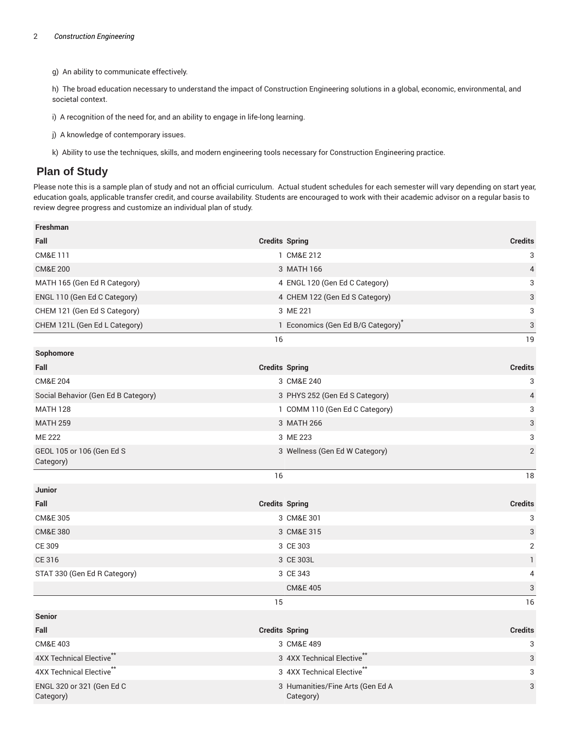g) An ability to communicate effectively.

h) The broad education necessary to understand the impact of Construction Engineering solutions in a global, economic, environmental, and societal context.

i) A recognition of the need for, and an ability to engage in life-long learning.

j) A knowledge of contemporary issues.

k) Ability to use the techniques, skills, and modern engineering tools necessary for Construction Engineering practice.

#### **Plan of Study**

Please note this is a sample plan of study and not an official curriculum. Actual student schedules for each semester will vary depending on start year, education goals, applicable transfer credit, and course availability. Students are encouraged to work with their academic advisor on a regular basis to review degree progress and customize an individual plan of study.

| Freshman                               |                                               |                           |
|----------------------------------------|-----------------------------------------------|---------------------------|
| Fall                                   | <b>Credits Spring</b>                         | <b>Credits</b>            |
| CM&E 111                               | 1 CM&E 212                                    | 3                         |
| <b>CM&amp;E 200</b>                    | 3 MATH 166                                    | $\overline{4}$            |
| MATH 165 (Gen Ed R Category)           | 4 ENGL 120 (Gen Ed C Category)                | 3                         |
| ENGL 110 (Gen Ed C Category)           | 4 CHEM 122 (Gen Ed S Category)                | 3                         |
| CHEM 121 (Gen Ed S Category)           | 3 ME 221                                      | 3                         |
| CHEM 121L (Gen Ed L Category)          | 1 Economics (Gen Ed B/G Category)             | $\ensuremath{\mathsf{3}}$ |
|                                        | 16                                            | 19                        |
| Sophomore                              |                                               |                           |
| Fall                                   | <b>Credits Spring</b>                         | <b>Credits</b>            |
| <b>CM&amp;E 204</b>                    | 3 CM&E 240                                    | 3                         |
| Social Behavior (Gen Ed B Category)    | 3 PHYS 252 (Gen Ed S Category)                | $\sqrt{4}$                |
| <b>MATH 128</b>                        | 1 COMM 110 (Gen Ed C Category)                | 3                         |
| <b>MATH 259</b>                        | 3 MATH 266                                    | $\sqrt{3}$                |
| <b>ME 222</b>                          | 3 ME 223                                      | 3                         |
| GEOL 105 or 106 (Gen Ed S<br>Category) | 3 Wellness (Gen Ed W Category)                | $\overline{2}$            |
|                                        | 16                                            | 18                        |
| Junior                                 |                                               |                           |
| Fall                                   | <b>Credits Spring</b>                         | <b>Credits</b>            |
| <b>CM&amp;E 305</b>                    | 3 CM&E 301                                    | 3                         |
| <b>CM&amp;E 380</b>                    | 3 CM&E 315                                    | 3                         |
| CE 309                                 | 3 CE 303                                      | $\overline{2}$            |
| CE 316                                 | 3 CE 303L                                     | $\mathbf{1}$              |
| STAT 330 (Gen Ed R Category)           | 3 CE 343                                      | 4                         |
|                                        | <b>CM&amp;E 405</b>                           | 3                         |
|                                        | 15                                            | 16                        |
| <b>Senior</b>                          |                                               |                           |
| Fall                                   | <b>Credits Spring</b>                         | <b>Credits</b>            |
| CM&E 403                               | 3 CM&E 489                                    | 3                         |
| 4XX Technical Elective**               | 3 4XX Technical Elective**                    | $\ensuremath{\mathsf{3}}$ |
| 4XX Technical Elective <sup>**</sup>   | 3 4XX Technical Elective <sup>**</sup>        | 3                         |
| ENGL 320 or 321 (Gen Ed C<br>Category) | 3 Humanities/Fine Arts (Gen Ed A<br>Category) | 3                         |